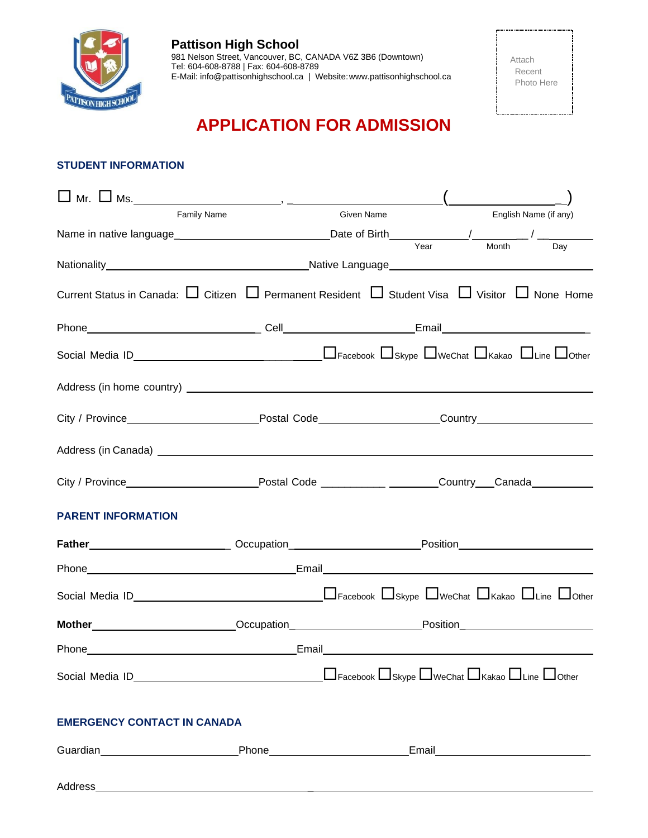

# **APPLICATION FOR ADMISSION**

# **STUDENT INFORMATION**

| <b>Family Name</b>                                                                                                                                                                                                                  | Given Name                                                                                                                                                                                                                           |      |       | English Name (if any) |
|-------------------------------------------------------------------------------------------------------------------------------------------------------------------------------------------------------------------------------------|--------------------------------------------------------------------------------------------------------------------------------------------------------------------------------------------------------------------------------------|------|-------|-----------------------|
|                                                                                                                                                                                                                                     |                                                                                                                                                                                                                                      |      |       |                       |
|                                                                                                                                                                                                                                     |                                                                                                                                                                                                                                      | Year | Month | Day                   |
| Current Status in Canada: $\Box$ Citizen $\Box$ Permanent Resident $\Box$ Student Visa $\Box$ Visitor $\Box$ None Home                                                                                                              |                                                                                                                                                                                                                                      |      |       |                       |
|                                                                                                                                                                                                                                     |                                                                                                                                                                                                                                      |      |       |                       |
|                                                                                                                                                                                                                                     |                                                                                                                                                                                                                                      |      |       |                       |
|                                                                                                                                                                                                                                     |                                                                                                                                                                                                                                      |      |       |                       |
|                                                                                                                                                                                                                                     |                                                                                                                                                                                                                                      |      |       |                       |
| Address (in Canada) <u>experience</u> and the contract of the contract of the contract of the contract of the contract of the contract of the contract of the contract of the contract of the contract of the contract of the contr |                                                                                                                                                                                                                                      |      |       |                       |
|                                                                                                                                                                                                                                     |                                                                                                                                                                                                                                      |      |       |                       |
| <b>PARENT INFORMATION</b>                                                                                                                                                                                                           |                                                                                                                                                                                                                                      |      |       |                       |
| Father________________________________Occupation__________________________Position____________________________                                                                                                                      |                                                                                                                                                                                                                                      |      |       |                       |
| Phone experience and the state of the state of the state of the state of the state of the state of the state of the state of the state of the state of the state of the state of the state of the state of the state of the st      |                                                                                                                                                                                                                                      |      |       |                       |
|                                                                                                                                                                                                                                     |                                                                                                                                                                                                                                      |      |       |                       |
| Mother__________________________Occupation________________________Position_________________________                                                                                                                                 |                                                                                                                                                                                                                                      |      |       |                       |
| Phone <b>Phone Phone Phone Phone Phone Phone Phone Phone Phone Phone Phone Phone Phone Phone Phone Phone Phone Phone Phone Phone Phone Phone Phone Phone Phone Phone Phone</b>                                                      | Email <b>Exercise Contract Contract Contract Contract Contract Contract Contract Contract Contract Contract Contract Contract Contract Contract Contract Contract Contract Contract Contract Contract Contract Contract Contract</b> |      |       |                       |
|                                                                                                                                                                                                                                     | $\Box$ Facebook $\Box$ Skype $\Box$ WeChat $\Box$ Kakao $\Box$ Line $\Box$ Other                                                                                                                                                     |      |       |                       |
| <b>EMERGENCY CONTACT IN CANADA</b>                                                                                                                                                                                                  |                                                                                                                                                                                                                                      |      |       |                       |
|                                                                                                                                                                                                                                     |                                                                                                                                                                                                                                      |      |       |                       |
|                                                                                                                                                                                                                                     |                                                                                                                                                                                                                                      |      |       |                       |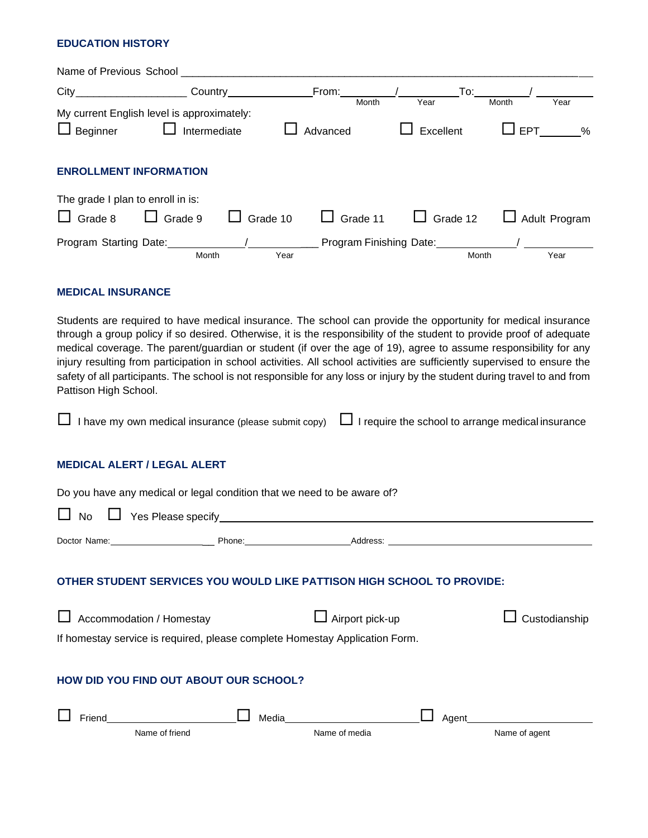## **EDUCATION HISTORY**

| Name of Previous School Name of Previous School |                |          |      |                 |                 |                             |                    |
|-------------------------------------------------|----------------|----------|------|-----------------|-----------------|-----------------------------|--------------------|
|                                                 |                |          |      |                 |                 | $\mathsf{To:}\_\_\_\_\_\_\$ |                    |
| My current English level is approximately:      |                |          |      | Month           | Year            | Month                       | Year               |
| $\Box$ Beginner $\Box$ Intermediate             |                |          |      | Advanced        | Excellent       |                             | $\square$ EPT<br>% |
| <b>ENROLLMENT INFORMATION</b>                   |                |          |      |                 |                 |                             |                    |
| The grade I plan to enroll in is:               |                |          |      |                 |                 |                             |                    |
| $\Box$ Grade 8                                  | $\Box$ Grade 9 | Grade 10 |      | $\Box$ Grade 11 | $\Box$ Grade 12 |                             | Adult Program      |
|                                                 |                |          |      |                 |                 |                             |                    |
|                                                 | Month          |          | Year |                 |                 | Month                       | Year               |

#### **MEDICAL INSURANCE**

Students are required to have medical insurance. The school can provide the opportunity for medical insurance through a group policy if so desired. Otherwise, it is the responsibility of the student to provide proof of adequate medical coverage. The parent/guardian or student (if over the age of 19), agree to assume responsibility for any injury resulting from participation in school activities. All school activities are sufficiently supervised to ensure the safety of all participants. The school is not responsible for any loss or injury by the student during travel to and from Pattison High School.

 $\Box$  I have my own medical insurance (please submit copy)  $\Box$  I require the school to arrange medical insurance

## **MEDICAL ALERT / LEGAL ALERT**

Do you have any medical or legal condition that we need to be aware of?

| No                                                                                                             |       |                        |                         |  |  |
|----------------------------------------------------------------------------------------------------------------|-------|------------------------|-------------------------|--|--|
| Doctor Name: Name: Name: Name: Name: Name: Name: Name: Name: Name: Name: Name: Name: Name: Name: Name: Name: N |       |                        |                         |  |  |
| OTHER STUDENT SERVICES YOU WOULD LIKE PATTISON HIGH SCHOOL TO PROVIDE:                                         |       |                        |                         |  |  |
| Accommodation / Homestay                                                                                       |       | $\Box$ Airport pick-up | Custodianship           |  |  |
| If homestay service is required, please complete Homestay Application Form.                                    |       |                        |                         |  |  |
| HOW DID YOU FIND OUT ABOUT OUR SCHOOL?                                                                         |       |                        |                         |  |  |
| Friend<br>Name of friend                                                                                       | Media | Name of media          | Agent_<br>Name of agent |  |  |